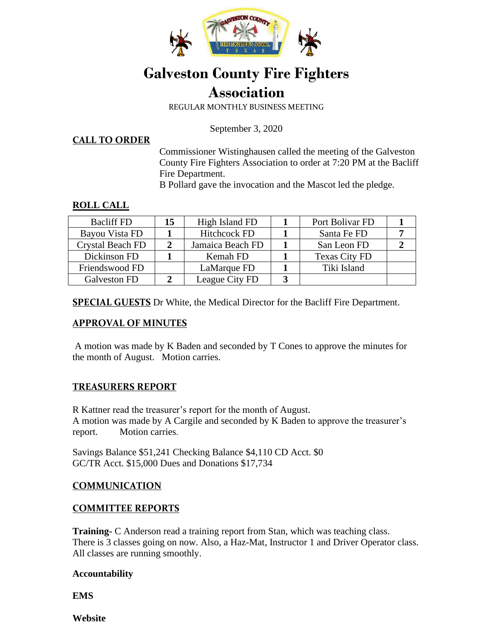

# **Galveston County Fire Fighters Association**

REGULAR MONTHLY BUSINESS MEETING

September 3, 2020

**CALL TO ORDER**

Commissioner Wistinghausen called the meeting of the Galveston County Fire Fighters Association to order at 7:20 PM at the Bacliff Fire Department.

B Pollard gave the invocation and the Mascot led the pledge.

#### **ROLL CALL**

| <b>Bacliff FD</b> | 15 | High Island FD      | Port Bolivar FD      |  |
|-------------------|----|---------------------|----------------------|--|
| Bayou Vista FD    |    | <b>Hitchcock FD</b> | Santa Fe FD          |  |
| Crystal Beach FD  |    | Jamaica Beach FD    | San Leon FD          |  |
| Dickinson FD      |    | Kemah FD            | <b>Texas City FD</b> |  |
| Friendswood FD    |    | LaMarque FD         | Tiki Island          |  |
| Galveston FD      |    | League City FD      |                      |  |

**SPECIAL GUESTS** Dr White, the Medical Director for the Bacliff Fire Department.

#### **APPROVAL OF MINUTES**

A motion was made by K Baden and seconded by T Cones to approve the minutes for the month of August. Motion carries.

## **TREASURERS REPORT**

R Kattner read the treasurer's report for the month of August. A motion was made by A Cargile and seconded by K Baden to approve the treasurer's report. Motion carries.

Savings Balance \$51,241 Checking Balance \$4,110 CD Acct. \$0 GC/TR Acct. \$15,000 Dues and Donations \$17,734

#### **COMMUNICATION**

#### **COMMITTEE REPORTS**

**Training-** C Anderson read a training report from Stan, which was teaching class. There is 3 classes going on now. Also, a Haz-Mat, Instructor 1 and Driver Operator class. All classes are running smoothly.

#### **Accountability**

**EMS** 

**Website**